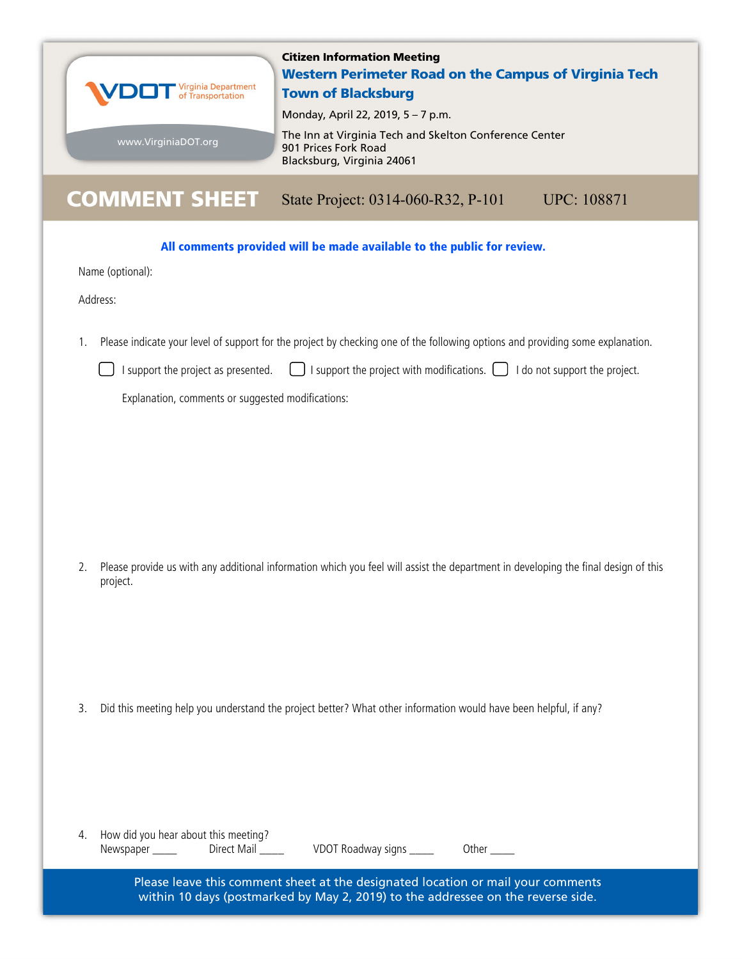

1. Please indicate your level of support for the project by checking one of the following options and providing some explanation.

|  | □ I support the project as presented. $\Box$ I support the project with modifications. $\Box$ I do not support the project. |  |  |
|--|-----------------------------------------------------------------------------------------------------------------------------|--|--|
|--|-----------------------------------------------------------------------------------------------------------------------------|--|--|

Explanation, comments or suggested modifications:

2. Please provide us with any additional information which you feel will assist the department in developing the final design of this project.

3. Did this meeting help you understand the project better? What other information would have been helpful, if any?

| 4. | How did you hear about this meeting? |             |
|----|--------------------------------------|-------------|
|    | Newspaper                            | Direct Mail |

VDOT Roadway signs \_\_\_\_\_ Other \_\_\_\_

Please leave this comment sheet at the designated location or mail your comments within 10 days (postmarked by May 2, 2019) to the addressee on the reverse side.